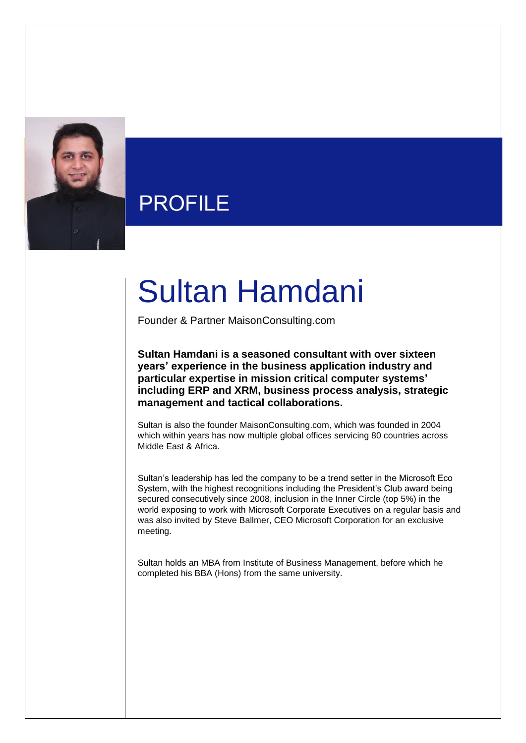

## **PROFILE**

## Sultan Hamdani

Founder & Partner MaisonConsulting.com

**Sultan Hamdani is a seasoned consultant with over sixteen years' experience in the business application industry and particular expertise in mission critical computer systems' including ERP and XRM, business process analysis, strategic management and tactical collaborations.** 

Sultan is also the founder MaisonConsulting.com, which was founded in 2004 which within years has now multiple global offices servicing 80 countries across Middle East & Africa.

Sultan's leadership has led the company to be a trend setter in the Microsoft Eco System, with the highest recognitions including the President's Club award being secured consecutively since 2008, inclusion in the Inner Circle (top 5%) in the world exposing to work with Microsoft Corporate Executives on a regular basis and was also invited by Steve Ballmer, CEO Microsoft Corporation for an exclusive meeting.

Sultan holds an MBA from Institute of Business Management, before which he completed his BBA (Hons) from the same university.